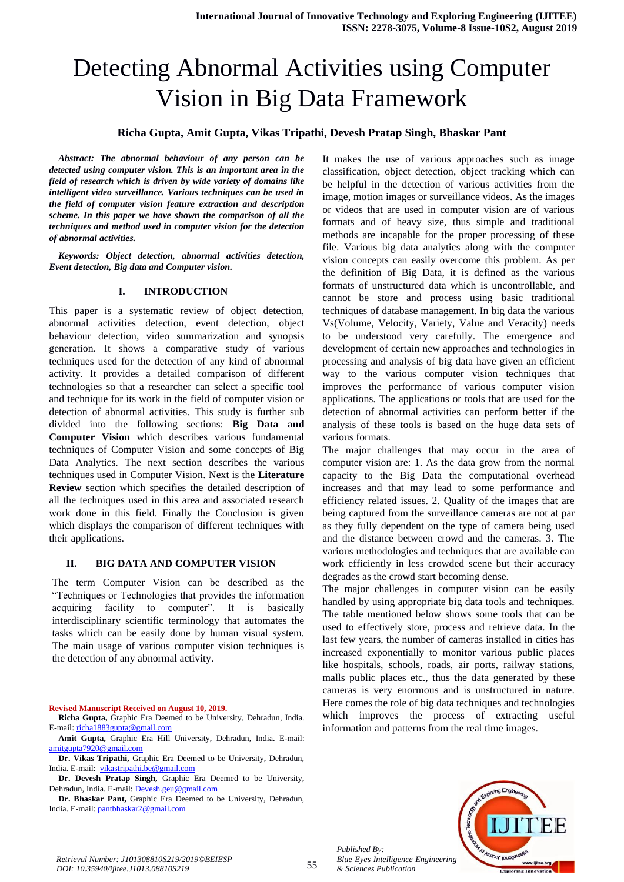# Detecting Abnormal Activities using Computer Vision in Big Data Framework

# **Richa Gupta, Amit Gupta, Vikas Tripathi, Devesh Pratap Singh, Bhaskar Pant**

*Abstract: The abnormal behaviour of any person can be detected using computer vision. This is an important area in the field of research which is driven by wide variety of domains like intelligent video surveillance. Various techniques can be used in the field of computer vision feature extraction and description scheme. In this paper we have shown the comparison of all the techniques and method used in computer vision for the detection of abnormal activities.*

*Keywords: Object detection, abnormal activities detection, Event detection, Big data and Computer vision.*

### **I. INTRODUCTION**

This paper is a systematic review of object detection, abnormal activities detection, event detection, object behaviour detection, video summarization and synopsis generation. It shows a comparative study of various techniques used for the detection of any kind of abnormal activity. It provides a detailed comparison of different technologies so that a researcher can select a specific tool and technique for its work in the field of computer vision or detection of abnormal activities. This study is further sub divided into the following sections: **Big Data and Computer Vision** which describes various fundamental techniques of Computer Vision and some concepts of Big Data Analytics. The next section describes the various techniques used in Computer Vision. Next is the **Literature Review** section which specifies the detailed description of all the techniques used in this area and associated research work done in this field. Finally the Conclusion is given which displays the comparison of different techniques with their applications.

#### **II. BIG DATA AND COMPUTER VISION**

The term Computer Vision can be described as the "Techniques or Technologies that provides the information acquiring facility to computer". It is basically interdisciplinary scientific terminology that automates the tasks which can be easily done by human visual system. The main usage of various computer vision techniques is the detection of any abnormal activity.

**Revised Manuscript Received on August 10, 2019.**

**Amit Gupta,** Graphic Era Hill University, Dehradun, India. E-mail: [amitgupta7920@gmail.com](mailto:amitgupta7920@gmail.com)

**Dr. Vikas Tripathi,** Graphic Era Deemed to be University, Dehradun, India. E-mail: [vikastripathi.be@gmail.com](mailto:vikastripathi.be@gmail.com)

**Dr. Devesh Pratap Singh,** Graphic Era Deemed to be University, Dehradun, India. E-mail: [Devesh.geu@gmail.com](mailto:Devesh.geu@gmail.com)

**Dr. Bhaskar Pant,** Graphic Era Deemed to be University, Dehradun, India. E-mail[: pantbhaskar2@gmail.com](mailto:pantbhaskar2@gmail.com)

It makes the use of various approaches such as image classification, object detection, object tracking which can be helpful in the detection of various activities from the image, motion images or surveillance videos. As the images or videos that are used in computer vision are of various formats and of heavy size, thus simple and traditional methods are incapable for the proper processing of these file. Various big data analytics along with the computer vision concepts can easily overcome this problem. As per the definition of Big Data, it is defined as the various formats of unstructured data which is uncontrollable, and cannot be store and process using basic traditional techniques of database management. In big data the various Vs(Volume, Velocity, Variety, Value and Veracity) needs to be understood very carefully. The emergence and development of certain new approaches and technologies in processing and analysis of big data have given an efficient way to the various computer vision techniques that improves the performance of various computer vision applications. The applications or tools that are used for the detection of abnormal activities can perform better if the analysis of these tools is based on the huge data sets of various formats.

The major challenges that may occur in the area of computer vision are: 1. As the data grow from the normal capacity to the Big Data the computational overhead increases and that may lead to some performance and efficiency related issues. 2. Quality of the images that are being captured from the surveillance cameras are not at par as they fully dependent on the type of camera being used and the distance between crowd and the cameras. 3. The various methodologies and techniques that are available can work efficiently in less crowded scene but their accuracy degrades as the crowd start becoming dense.

The major challenges in computer vision can be easily handled by using appropriate big data tools and techniques. The table mentioned below shows some tools that can be used to effectively store, process and retrieve data. In the last few years, the number of cameras installed in cities has increased exponentially to monitor various public places like hospitals, schools, roads, air ports, railway stations, malls public places etc., thus the data generated by these cameras is very enormous and is unstructured in nature. Here comes the role of big data techniques and technologies which improves the process of extracting useful information and patterns from the real time images.



*Published By:*

**Richa Gupta,** Graphic Era Deemed to be University, Dehradun, India. E-mail: [richa1883gupta@gmail.com](mailto:richa1883gupta@gmail.com)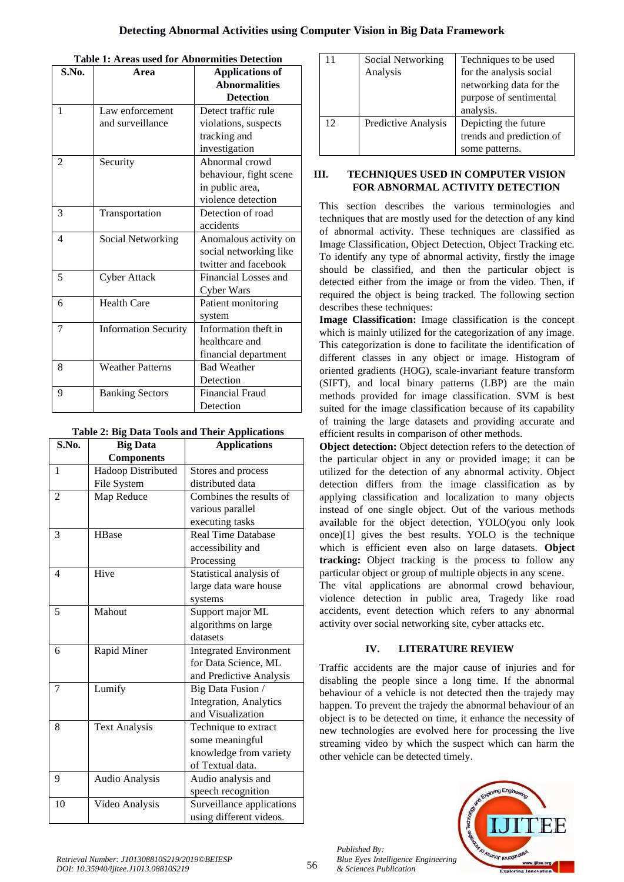| S.No.          | <b>Applications of</b><br>Area |                        |  |  |
|----------------|--------------------------------|------------------------|--|--|
|                |                                | <b>Abnormalities</b>   |  |  |
|                |                                | <b>Detection</b>       |  |  |
| $\mathbf{1}$   | Law enforcement                | Detect traffic rule    |  |  |
|                | and surveillance               | violations, suspects   |  |  |
|                |                                | tracking and           |  |  |
|                |                                | investigation          |  |  |
| $\mathfrak{D}$ | Security                       | Abnormal crowd         |  |  |
|                |                                | behaviour, fight scene |  |  |
|                |                                | in public area,        |  |  |
|                |                                | violence detection     |  |  |
| 3              | Transportation                 | Detection of road      |  |  |
|                |                                | accidents              |  |  |
| $\overline{4}$ | <b>Social Networking</b>       | Anomalous activity on  |  |  |
|                |                                | social networking like |  |  |
|                |                                | twitter and facebook   |  |  |
| 5              | <b>Cyber Attack</b>            | Financial Losses and   |  |  |
|                |                                | Cyber Wars             |  |  |
| 6              | <b>Health Care</b>             | Patient monitoring     |  |  |
|                |                                | system                 |  |  |
| 7              | <b>Information Security</b>    | Information theft in   |  |  |
|                |                                | healthcare and         |  |  |
|                |                                | financial department   |  |  |
| 8              | <b>Weather Patterns</b>        | <b>Bad Weather</b>     |  |  |
|                |                                | Detection              |  |  |
| 9              | <b>Banking Sectors</b>         | <b>Financial Fraud</b> |  |  |
|                |                                | Detection              |  |  |

**Table 1: Areas used for Abnormities Detection**

| S.No.          | <b>Big Data</b>       | a big butu 10015 unu 1nen rippneutions<br><b>Applications</b> |  |  |
|----------------|-----------------------|---------------------------------------------------------------|--|--|
|                | <b>Components</b>     |                                                               |  |  |
| 1              | Hadoop Distributed    | Stores and process                                            |  |  |
|                | File System           | distributed data                                              |  |  |
| $\overline{2}$ | Map Reduce            | Combines the results of                                       |  |  |
|                |                       | various parallel                                              |  |  |
|                |                       | executing tasks                                               |  |  |
| 3              | HBase                 | <b>Real Time Database</b>                                     |  |  |
|                |                       | accessibility and                                             |  |  |
|                |                       | Processing                                                    |  |  |
| 4              | Hive                  | Statistical analysis of                                       |  |  |
|                |                       | large data ware house                                         |  |  |
|                |                       | systems                                                       |  |  |
| 5              | Mahout                | Support major ML                                              |  |  |
|                |                       | algorithms on large                                           |  |  |
|                |                       | datasets                                                      |  |  |
| 6              | Rapid Miner           | <b>Integrated Environment</b>                                 |  |  |
|                |                       | for Data Science, ML                                          |  |  |
|                |                       | and Predictive Analysis                                       |  |  |
| 7              | Lumify                | Big Data Fusion /                                             |  |  |
|                |                       | <b>Integration</b> , Analytics                                |  |  |
|                |                       | and Visualization                                             |  |  |
| 8              | <b>Text Analysis</b>  | Technique to extract                                          |  |  |
|                |                       | some meaningful                                               |  |  |
|                |                       | knowledge from variety                                        |  |  |
|                |                       | of Textual data.                                              |  |  |
| 9              | <b>Audio Analysis</b> | Audio analysis and                                            |  |  |
|                |                       | speech recognition                                            |  |  |
| 10             | Video Analysis        | Surveillance applications                                     |  |  |
|                |                       | using different videos.                                       |  |  |

| 11 | Social Networking   | Techniques to be used    |  |  |
|----|---------------------|--------------------------|--|--|
|    | Analysis            | for the analysis social  |  |  |
|    |                     | networking data for the  |  |  |
|    |                     | purpose of sentimental   |  |  |
|    |                     | analysis.                |  |  |
| 12 | Predictive Analysis | Depicting the future     |  |  |
|    |                     | trends and prediction of |  |  |
|    |                     | some patterns.           |  |  |

## **III. TECHNIQUES USED IN COMPUTER VISION FOR ABNORMAL ACTIVITY DETECTION**

This section describes the various terminologies and techniques that are mostly used for the detection of any kind of abnormal activity. These techniques are classified as Image Classification, Object Detection, Object Tracking etc. To identify any type of abnormal activity, firstly the image should be classified, and then the particular object is detected either from the image or from the video. Then, if required the object is being tracked. The following section describes these techniques:

**Image Classification:** Image classification is the concept which is mainly utilized for the categorization of any image. This categorization is done to facilitate the identification of different classes in any object or image. Histogram of oriented gradients (HOG), scale-invariant feature transform (SIFT), and local binary patterns (LBP) are the main methods provided for image classification. SVM is best suited for the image classification because of its capability of training the large datasets and providing accurate and efficient results in comparison of other methods.

**Object detection:** Object detection refers to the detection of the particular object in any or provided image; it can be utilized for the detection of any abnormal activity. Object detection differs from the image classification as by applying classification and localization to many objects instead of one single object. Out of the various methods available for the object detection, YOLO(you only look once)[1] gives the best results. YOLO is the technique which is efficient even also on large datasets. **Object tracking:** Object tracking is the process to follow any particular object or group of multiple objects in any scene.

The vital applications are abnormal crowd behaviour, violence detection in public area, Tragedy like road accidents, event detection which refers to any abnormal activity over social networking site, cyber attacks etc.

# **IV. LITERATURE REVIEW**

Traffic accidents are the major cause of injuries and for disabling the people since a long time. If the abnormal behaviour of a vehicle is not detected then the trajedy may happen. To prevent the trajedy the abnormal behaviour of an object is to be detected on time, it enhance the necessity of new technologies are evolved here for processing the live streaming video by which the suspect which can harm the other vehicle can be detected timely.



*Published By:*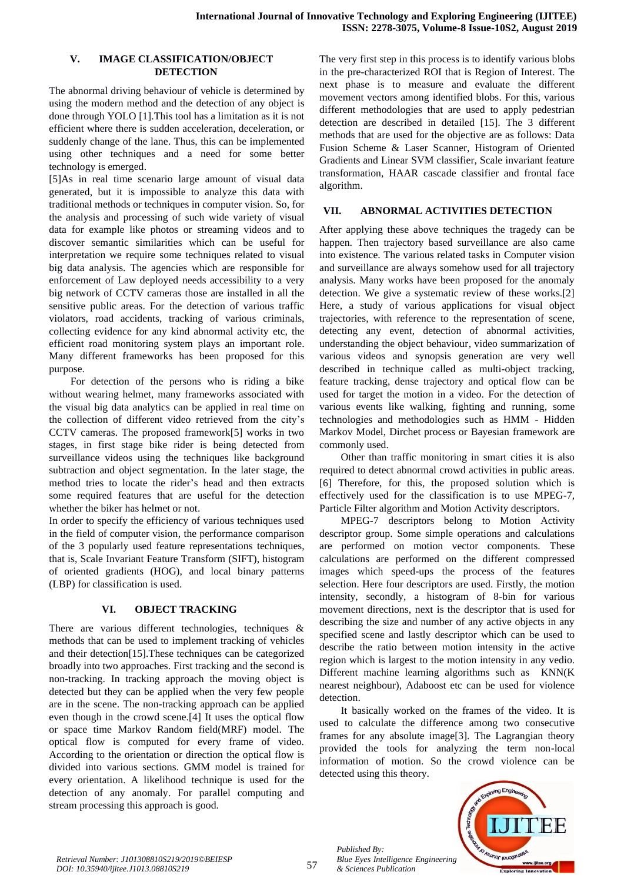### **V. IMAGE CLASSIFICATION/OBJECT DETECTION**

The abnormal driving behaviour of vehicle is determined by using the modern method and the detection of any object is done through YOLO [1].This tool has a limitation as it is not efficient where there is sudden acceleration, deceleration, or suddenly change of the lane. Thus, this can be implemented using other techniques and a need for some better technology is emerged.

[5]As in real time scenario large amount of visual data generated, but it is impossible to analyze this data with traditional methods or techniques in computer vision. So, for the analysis and processing of such wide variety of visual data for example like photos or streaming videos and to discover semantic similarities which can be useful for interpretation we require some techniques related to visual big data analysis. The agencies which are responsible for enforcement of Law deployed needs accessibility to a very big network of CCTV cameras those are installed in all the sensitive public areas. For the detection of various traffic violators, road accidents, tracking of various criminals, collecting evidence for any kind abnormal activity etc, the efficient road monitoring system plays an important role. Many different frameworks has been proposed for this purpose.

For detection of the persons who is riding a bike without wearing helmet, many frameworks associated with the visual big data analytics can be applied in real time on the collection of different video retrieved from the city's CCTV cameras. The proposed framework[5] works in two stages, in first stage bike rider is being detected from surveillance videos using the techniques like background subtraction and object segmentation. In the later stage, the method tries to locate the rider's head and then extracts some required features that are useful for the detection whether the biker has helmet or not.

In order to specify the efficiency of various techniques used in the field of computer vision, the performance comparison of the 3 popularly used feature representations techniques, that is, Scale Invariant Feature Transform (SIFT), histogram of oriented gradients (HOG), and local binary patterns (LBP) for classification is used.

# **VI. OBJECT TRACKING**

There are various different technologies, techniques & methods that can be used to implement tracking of vehicles and their detection[15].These techniques can be categorized broadly into two approaches. First tracking and the second is non-tracking. In tracking approach the moving object is detected but they can be applied when the very few people are in the scene. The non-tracking approach can be applied even though in the crowd scene.[4] It uses the optical flow or space time Markov Random field(MRF) model. The optical flow is computed for every frame of video. According to the orientation or direction the optical flow is divided into various sections. GMM model is trained for every orientation. A likelihood technique is used for the detection of any anomaly. For parallel computing and stream processing this approach is good.

The very first step in this process is to identify various blobs in the pre-characterized ROI that is Region of Interest. The next phase is to measure and evaluate the different movement vectors among identified blobs. For this, various different methodologies that are used to apply pedestrian detection are described in detailed [15]. The 3 different methods that are used for the objective are as follows: Data Fusion Scheme & Laser Scanner, Histogram of Oriented Gradients and Linear SVM classifier, Scale invariant feature transformation, HAAR cascade classifier and frontal face algorithm.

# **VII. ABNORMAL ACTIVITIES DETECTION**

After applying these above techniques the tragedy can be happen. Then trajectory based surveillance are also came into existence. The various related tasks in Computer vision and surveillance are always somehow used for all trajectory analysis. Many works have been proposed for the anomaly detection. We give a systematic review of these works.[2] Here, a study of various applications for visual object trajectories, with reference to the representation of scene, detecting any event, detection of abnormal activities, understanding the object behaviour, video summarization of various videos and synopsis generation are very well described in technique called as multi-object tracking, feature tracking, dense trajectory and optical flow can be used for target the motion in a video. For the detection of various events like walking, fighting and running, some technologies and methodologies such as HMM - Hidden Markov Model, Dirchet process or Bayesian framework are commonly used.

Other than traffic monitoring in smart cities it is also required to detect abnormal crowd activities in public areas. [6] Therefore, for this, the proposed solution which is effectively used for the classification is to use MPEG-7, Particle Filter algorithm and Motion Activity descriptors.

MPEG-7 descriptors belong to Motion Activity descriptor group. Some simple operations and calculations are performed on motion vector components. These calculations are performed on the different compressed images which speed-ups the process of the features selection. Here four descriptors are used. Firstly, the motion intensity, secondly, a histogram of 8-bin for various movement directions, next is the descriptor that is used for describing the size and number of any active objects in any specified scene and lastly descriptor which can be used to describe the ratio between motion intensity in the active region which is largest to the motion intensity in any vedio. Different machine learning algorithms such as KNN(K nearest neighbour), Adaboost etc can be used for violence detection.

It basically worked on the frames of the video. It is used to calculate the difference among two consecutive frames for any absolute image[3]. The Lagrangian theory provided the tools for analyzing the term non-local information of motion. So the crowd violence can be detected using this theory.



*Published By:*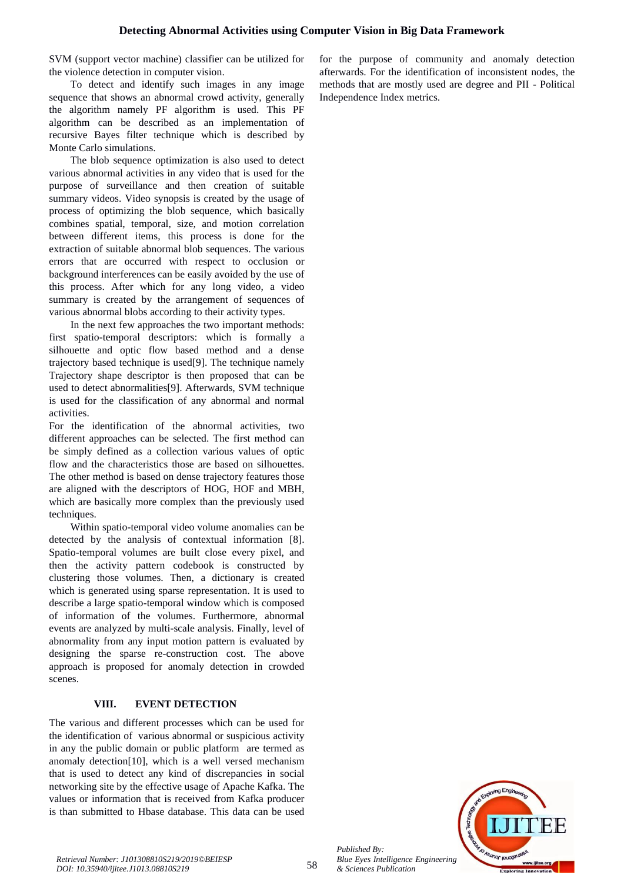SVM (support vector machine) classifier can be utilized for the violence detection in computer vision.

To detect and identify such images in any image sequence that shows an abnormal crowd activity, generally the algorithm namely PF algorithm is used. This PF algorithm can be described as an implementation of recursive Bayes filter technique which is described by Monte Carlo simulations.

The blob sequence optimization is also used to detect various abnormal activities in any video that is used for the purpose of surveillance and then creation of suitable summary videos. Video synopsis is created by the usage of process of optimizing the blob sequence, which basically combines spatial, temporal, size, and motion correlation between different items, this process is done for the extraction of suitable abnormal blob sequences. The various errors that are occurred with respect to occlusion or background interferences can be easily avoided by the use of this process. After which for any long video, a video summary is created by the arrangement of sequences of various abnormal blobs according to their activity types.

In the next few approaches the two important methods: first spatio-temporal descriptors: which is formally a silhouette and optic flow based method and a dense trajectory based technique is used[9]. The technique namely Trajectory shape descriptor is then proposed that can be used to detect abnormalities[9]. Afterwards, SVM technique is used for the classification of any abnormal and normal activities.

For the identification of the abnormal activities, two different approaches can be selected. The first method can be simply defined as a collection various values of optic flow and the characteristics those are based on silhouettes. The other method is based on dense trajectory features those are aligned with the descriptors of HOG, HOF and MBH, which are basically more complex than the previously used techniques.

Within spatio-temporal video volume anomalies can be detected by the analysis of contextual information [8]. Spatio-temporal volumes are built close every pixel, and then the activity pattern codebook is constructed by clustering those volumes. Then, a dictionary is created which is generated using sparse representation. It is used to describe a large spatio-temporal window which is composed of information of the volumes. Furthermore, abnormal events are analyzed by multi-scale analysis. Finally, level of abnormality from any input motion pattern is evaluated by designing the sparse re-construction cost. The above approach is proposed for anomaly detection in crowded scenes.

# **VIII. EVENT DETECTION**

The various and different processes which can be used for the identification of various abnormal or suspicious activity in any the public domain or public platform are termed as anomaly detection[10], which is a well versed mechanism that is used to detect any kind of discrepancies in social networking site by the effective usage of Apache Kafka. The values or information that is received from Kafka producer is than submitted to Hbase database. This data can be used

for the purpose of community and anomaly detection afterwards. For the identification of inconsistent nodes, the methods that are mostly used are degree and PII - Political Independence Index metrics.



*Published By:*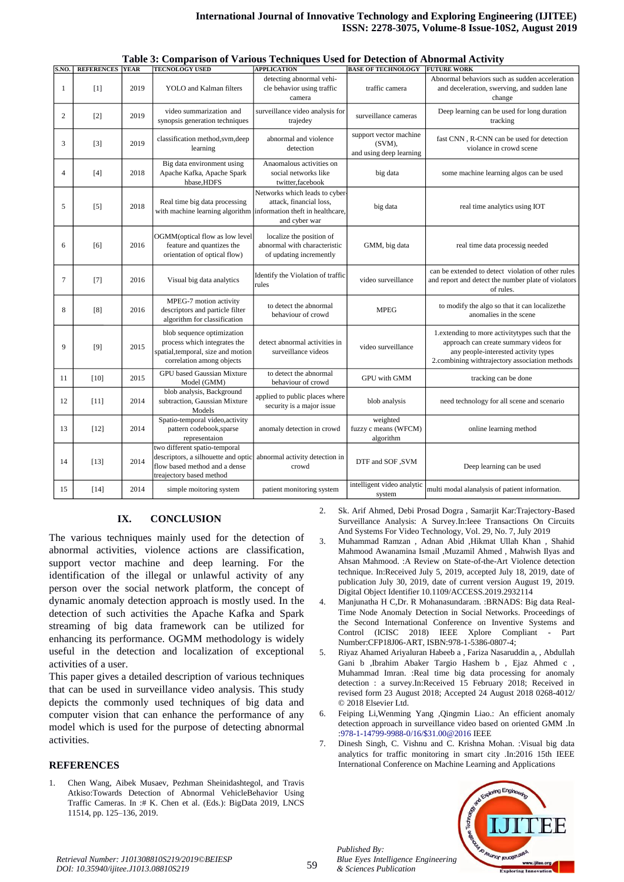|                | <b>S.NO. REFERENCES YEAR</b> |      | <b>TECNOLOGY USED</b>                                                                                                             | <b>APPLICATION</b>                                                                  | <b>BASE OF TECHNOLOGY</b>                                   | <b>FUTURE WORK</b>                                                                                                                                                                    |
|----------------|------------------------------|------|-----------------------------------------------------------------------------------------------------------------------------------|-------------------------------------------------------------------------------------|-------------------------------------------------------------|---------------------------------------------------------------------------------------------------------------------------------------------------------------------------------------|
| $\mathbf{1}$   | [1]                          | 2019 | <b>YOLO</b> and Kalman filters                                                                                                    | detecting abnormal vehi-<br>cle behavior using traffic<br>camera                    | traffic camera                                              | Abnormal behaviors such as sudden acceleration<br>and deceleration, swerving, and sudden lane<br>change                                                                               |
| $\overline{c}$ | $[2]$                        | 2019 | video summarization and<br>synopsis generation techniques                                                                         | surveillance video analysis for<br>trajedey                                         | surveillance cameras                                        | Deep learning can be used for long duration<br>tracking                                                                                                                               |
| 3              | $[3]$                        | 2019 | classification method, svm, deep<br>learning                                                                                      | abnormal and violence<br>detection                                                  | support vector machine<br>(SVM),<br>and using deep learning | fast CNN, R-CNN can be used for detection<br>violance in crowd scene                                                                                                                  |
| $\overline{4}$ | $[4]$                        | 2018 | Big data environment using<br>Apache Kafka, Apache Spark<br>hbase, HDFS                                                           | Anaomalous activities on<br>social networks like<br>twitter, facebook               | big data                                                    | some machine learning algos can be used                                                                                                                                               |
| 5              | [5]                          | 2018 | Real time big data processing<br>with machine learning algorithm information theft in healthcare,                                 | Networks which leads to cyber-<br>attack, financial loss,<br>and cyber war          | big data                                                    | real time analytics using IOT                                                                                                                                                         |
| 6              | [6]                          | 2016 | OGMM(optical flow as low level<br>feature and quantizes the<br>orientation of optical flow)                                       | localize the position of<br>abnormal with characteristic<br>of updating incremently | GMM, big data                                               | real time data processig needed                                                                                                                                                       |
| $\tau$         | $[7]$                        | 2016 | Visual big data analytics                                                                                                         | Identify the Violation of traffic<br>rules                                          | video surveillance                                          | can be extended to detect violation of other rules<br>and report and detect the number plate of violators<br>of rules.                                                                |
| 8              | [8]                          | 2016 | MPEG-7 motion activity<br>descriptors and particle filter<br>algorithm for classification                                         | to detect the abnormal<br>behaviour of crowd                                        | <b>MPEG</b>                                                 | to modify the algo so that it can localize the<br>anomalies in the scene                                                                                                              |
| 9              | [9]                          | 2015 | blob sequence optimization<br>process which integrates the<br>spatial, temporal, size and motion<br>correlation among objects     | detect abnormal activities in<br>surveillance videos                                | video surveillance                                          | 1. extending to more activity types such that the<br>approach can create summary videos for<br>any people-interested activity types<br>2.combining withtrajectory association methods |
| 11             | [10]                         | 2015 | <b>GPU</b> based Gaussian Mixture<br>Model (GMM)                                                                                  | to detect the abnormal<br>behaviour of crowd                                        | <b>GPU</b> with GMM                                         | tracking can be done                                                                                                                                                                  |
| 12             | [11]                         | 2014 | blob analysis, Background<br>subtraction, Gaussian Mixture<br>Models                                                              | applied to public places where<br>security is a major issue                         | blob analysis                                               | need technology for all scene and scenario                                                                                                                                            |
| 13             | $[12]$                       | 2014 | Spatio-temporal video, activity<br>pattern codebook, sparse<br>representaion                                                      | anomaly detection in crowd                                                          | weighted<br>fuzzy c means (WFCM)<br>algorithm               | online learning method                                                                                                                                                                |
| 14             | [13]                         | 2014 | two different spatio-temporal<br>descriptors, a silhouette and optic<br>flow based method and a dense<br>treajectory based method | abnormal activity detection in<br>crowd                                             | DTF and SOF ,SVM                                            | Deep learning can be used                                                                                                                                                             |
| 15             | $[14]$                       | 2014 | simple moitoring system                                                                                                           | patient monitoring system                                                           | intelligent video analytic<br>system                        | multi modal alanalysis of patient information.                                                                                                                                        |

#### **Table 3: Comparison of Various Techniques Used for Detection of Abnormal Activity**

### **IX. CONCLUSION**

The various techniques mainly used for the detection of abnormal activities, violence actions are classification, support vector machine and deep learning. For the identification of the illegal or unlawful activity of any person over the social network platform, the concept of dynamic anomaly detection approach is mostly used. In the detection of such activities the Apache Kafka and Spark streaming of big data framework can be utilized for enhancing its performance. OGMM methodology is widely useful in the detection and localization of exceptional activities of a user.

This paper gives a detailed description of various techniques that can be used in surveillance video analysis. This study depicts the commonly used techniques of big data and computer vision that can enhance the performance of any model which is used for the purpose of detecting abnormal activities.

#### **REFERENCES**

1. Chen Wang, Aibek Musaev, Pezhman Sheinidashtegol, and Travis Atkiso:Towards Detection of Abnormal VehicleBehavior Using Traffic Cameras. In :# K. Chen et al. (Eds.): BigData 2019, LNCS 11514, pp. 125–136, 2019.

- 2. Sk. Arif Ahmed, Debi Prosad Dogra , Samarjit Kar:Trajectory-Based Surveillance Analysis: A Survey.In:Ieee Transactions On Circuits And Systems For Video Technology, Vol. 29, No. 7, July 2019
- 3. Muhammad Ramzan , Adnan Abid ,Hikmat Ullah Khan , Shahid Mahmood Awanamina Ismail ,Muzamil Ahmed , Mahwish Ilyas and Ahsan Mahmood. :A Review on State-of-the-Art Violence detection technique. In:Received July 5, 2019, accepted July 18, 2019, date of publication July 30, 2019, date of current version August 19, 2019. Digital Object Identifier 10.1109/ACCESS.2019.2932114
- 4. Manjunatha H C,Dr. R Mohanasundaram. :BRNADS: Big data Real-Time Node Anomaly Detection in Social Networks. Proceedings of the Second International Conference on Inventive Systems and Control (ICISC 2018) IEEE Xplore Compliant - Part Number:CFP18J06-ART, ISBN:978-1-5386-0807-4;
- 5. Riyaz Ahamed Ariyaluran Habeeb a , Fariza Nasaruddin a, , Abdullah Gani b ,Ibrahim Abaker Targio Hashem b , Ejaz Ahmed c , Muhammad Imran. :Real time big data processing for anomaly detection : a survey.In:Received 15 February 2018; Received in revised form 23 August 2018; Accepted 24 August 2018 0268-4012/ © 2018 Elsevier Ltd.
- 6. Feiping Li,Wenming Yang ,Qingmin Liao.: An efficient anomaly detection approach in surveillance video based on oriented GMM .In [:978-1-14799-9988-0/16/\\$31.00@2016](mailto:978-1-14799-9988-0/16/$31.00@2016) IEEE
- 7. Dinesh Singh, C. Vishnu and C. Krishna Mohan. :Visual big data analytics for traffic monitoring in smart city .In:2016 15th IEEE International Conference on Machine Learning and Applications



<sup>59</sup> *Retrieval Number: J101308810S219/2019©BEIESP DOI: 10.35940/ijitee.J1013.08810S219*

*Published By:*